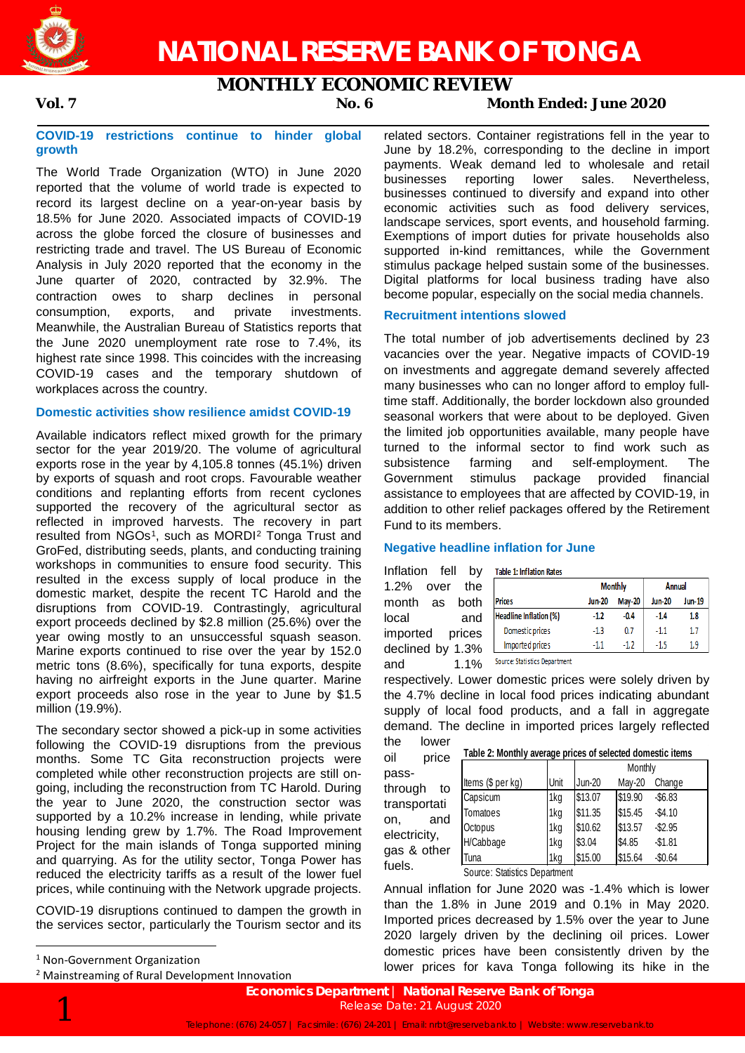

# **NATIONAL RESERVE BANK OF TONGA**

# **MONTHLY ECONOMIC REVIEW**

## **Vol. 7 No. 6 Month Ended: June 2020**

### **COVID-19 restrictions continue to hinder global growth**

The World Trade Organization (WTO) in June 2020 reported that the volume of world trade is expected to record its largest decline on a year-on-year basis by 18.5% for June 2020. Associated impacts of COVID-19 across the globe forced the closure of businesses and restricting trade and travel. The US Bureau of Economic Analysis in July 2020 reported that the economy in the June quarter of 2020, contracted by 32.9%. The contraction owes to sharp declines in personal consumption, exports, and private investments. Meanwhile, the Australian Bureau of Statistics reports that the June 2020 unemployment rate rose to 7.4%, its highest rate since 1998. This coincides with the increasing COVID-19 cases and the temporary shutdown of workplaces across the country.

#### **Domestic activities show resilience amidst COVID-19**

Available indicators reflect mixed growth for the primary sector for the year 2019/20. The volume of agricultural exports rose in the year by 4,105.8 tonnes (45.1%) driven by exports of squash and root crops. Favourable weather conditions and replanting efforts from recent cyclones supported the recovery of the agricultural sector as reflected in improved harvests. The recovery in part resulted from NGOs<sup>1</sup>, such as MORDI<sup>[2](#page-0-1)</sup> Tonga Trust and GroFed, distributing seeds, plants, and conducting training workshops in communities to ensure food security. This resulted in the excess supply of local produce in the domestic market, despite the recent TC Harold and the disruptions from COVID-19. Contrastingly, agricultural export proceeds declined by \$2.8 million (25.6%) over the year owing mostly to an unsuccessful squash season. Marine exports continued to rise over the year by 152.0 metric tons (8.6%), specifically for tuna exports, despite having no airfreight exports in the June quarter. Marine export proceeds also rose in the year to June by \$1.5 million (19.9%).

The secondary sector showed a pick-up in some activities following the COVID-19 disruptions from the previous months. Some TC Gita reconstruction projects were completed while other reconstruction projects are still ongoing, including the reconstruction from TC Harold. During the year to June 2020, the construction sector was supported by a 10.2% increase in lending, while private housing lending grew by 1.7%. The Road Improvement Project for the main islands of Tonga supported mining and quarrying. As for the utility sector, Tonga Power has reduced the electricity tariffs as a result of the lower fuel prices, while continuing with the Network upgrade projects.

COVID-19 disruptions continued to dampen the growth in the services sector, particularly the Tourism sector and its

<span id="page-0-1"></span><sup>2</sup> Mainstreaming of Rural Development Innovation

related sectors. Container registrations fell in the year to June by 18.2%, corresponding to the decline in import payments. Weak demand led to wholesale and retail businesses reporting lower sales. Nevertheless, businesses continued to diversify and expand into other economic activities such as food delivery services, landscape services, sport events, and household farming. Exemptions of import duties for private households also supported in-kind remittances, while the Government stimulus package helped sustain some of the businesses. Digital platforms for local business trading have also become popular, especially on the social media channels.

### **Recruitment intentions slowed**

The total number of job advertisements declined by 23 vacancies over the year. Negative impacts of COVID-19 on investments and aggregate demand severely affected many businesses who can no longer afford to employ fulltime staff. Additionally, the border lockdown also grounded seasonal workers that were about to be deployed. Given the limited job opportunities available, many people have turned to the informal sector to find work such as subsistence farming and self-employment. The Government stimulus package provided financial assistance to employees that are affected by COVID-19, in addition to other relief packages offered by the Retirement Fund to its members.

### **Negative headline inflation for June**

Inflation fell by 1.2% over the month as both local and imported prices declined by 1.3% and 1.1% Source: Statistics Department

fuels.

|                               | <b>Monthly</b> |               | <b>Annual</b> |        |
|-------------------------------|----------------|---------------|---------------|--------|
| <b>Prices</b>                 | <b>Jun-20</b>  | <b>May-20</b> | <b>Jun-20</b> | Jun-19 |
| <b>Headline Inflation (%)</b> | $-1.2$         | $-0.4$        | $-1.4$        | 1.8    |
| Domestic prices               | $-1.3$         | 0.7           | $-1.1$        | 1.7    |
| Imported prices               | $-1.1$         | $-1.2$        | -1.5          | 1.9    |

respectively. Lower domestic prices were solely driven by the 4.7% decline in local food prices indicating abundant supply of local food products, and a fall in aggregate demand. The decline in imported prices largely reflected the lower

oil price **Table 2: Monthly average prices of selected domestic items**

| ີ<br>טטוו<br>pass- |                                            |      |         | Monthly |            |
|--------------------|--------------------------------------------|------|---------|---------|------------|
| through<br>to      | Items (\$ per kg)                          | Unit | Jun-20  | May-20  | Change     |
| transportati       | Capsicum                                   | 1kg  | \$13.07 | \$19.90 | $-$ \$6.83 |
| and                | Tomatoes                                   | 1kg  | \$11.35 | \$15.45 | $-$4.10$   |
| on.                | Octopus                                    | 1kg  | \$10.62 | \$13.57 | $-$ \$2.95 |
| electricity,       | H/Cabbage                                  | 1kg  | \$3.04  | \$4.85  | $-$1.81$   |
| gas & other        | Tuna                                       | 1kg  | \$15.00 | \$15.64 | $-$0.64$   |
| fuels.             | $\sim$<br>$\sim$ $\cdot$ $\cdot$<br>$\sim$ |      |         |         |            |

Source: Statistics Department

Annual inflation for June 2020 was -1.4% which is lower than the 1.8% in June 2019 and 0.1% in May 2020. Imported prices decreased by 1.5% over the year to June 2020 largely driven by the declining oil prices. Lower domestic prices have been consistently driven by the lower prices for kava Tonga following its hike in the



<span id="page-0-0"></span> <sup>1</sup> Non-Government Organization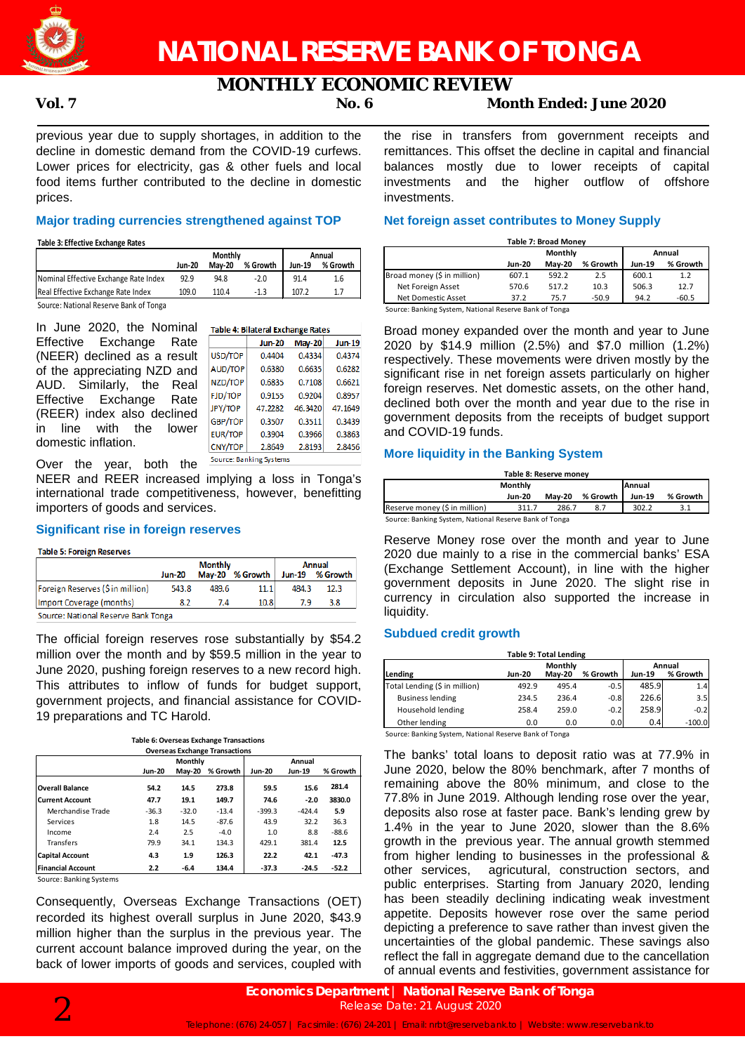

# **MONTHLY ECONOMIC REVIEW**

## **Vol. 7 No. 6 Month Ended: June 2020**

previous year due to supply shortages, in addition to the decline in domestic demand from the COVID-19 curfews. Lower prices for electricity, gas & other fuels and local food items further contributed to the decline in domestic prices.

#### **Major trading currencies strengthened against TOP**

**Table 3: Effective Exchange Rates**

domestic inflation.

|                                        |               | Monthly       | Annual   |        |          |
|----------------------------------------|---------------|---------------|----------|--------|----------|
|                                        | <b>Jun-20</b> | <b>Mav-20</b> | % Growth | Jun-19 | % Growth |
| Nominal Effective Exchange Rate Index  | 92.9          | 94.8          | $-2.0$   | 91.4   | 1.6      |
| Real Effective Exchange Rate Index     | 109.0         | 110.4         | $-1.3$   | 107.2  |          |
| Source: National Reserve Bank of Tonga |               |               |          |        |          |

In June 2020, the Nominal Effective Exchange Rate (NEER) declined as a result of the appreciating NZD and AUD. Similarly, the Real Effective Exchange Rate (REER) index also declined

Table 4: Bilateral Exchange Rates Jun-20 May-20 **Jun-19** USD/TOF  $0.4404$ 0.4334 0.4374 AUD/TOP 0.6380 0.6635 0.6282 NZD/TOP 0.6835 0.7108 0.6621 FJD/TOP 0.9155 0.8957  $0.9204$ JPY/TOP 47.2282 46.3420 47 1649 GBP/TOP 0.3507 0.3511 0.3439 in line with the lower EUR/TOP 0.3863 0.3904 0.3966 CNY/TOP 2.8649 2.8193 2.8456 Source: Banking Systems

Over the year, both the NEER and REER increased implying a loss in Tonga's international trade competitiveness, however, benefitting importers of goods and services.

### **Significant rise in foreign reserves**

| <b>Table 5: Foreign Reserves</b>    |               |                                 |          |               |                           |  |
|-------------------------------------|---------------|---------------------------------|----------|---------------|---------------------------|--|
|                                     | <b>Jun-20</b> | <b>Monthly</b><br><b>May-20</b> | % Growth | <b>Jun-19</b> | <b>Annual</b><br>% Growth |  |
| Foreign Reserves (\$ in million)    | 543.8         | 489.6                           | 11.1     | 484.3         | 12.3                      |  |
| Import Coverage (months)            | 8.2           | 7.4                             | 10.8     | 7.9           | 3.8                       |  |
| Source: National Reserve Bank Tonga |               |                                 |          |               |                           |  |

The official foreign reserves rose substantially by \$54.2 million over the month and by \$59.5 million in the year to June 2020, pushing foreign reserves to a new record high. This attributes to inflow of funds for budget support, government projects, and financial assistance for COVID-19 preparations and TC Harold.

|  |  | Table 6: Overseas Exchange Transactions |  |
|--|--|-----------------------------------------|--|
|  |  | Outstand Fushers on Trempetters         |  |

| <b>Overseas Exchange Transactions</b> |               |               |          |               |               |          |  |  |  |
|---------------------------------------|---------------|---------------|----------|---------------|---------------|----------|--|--|--|
|                                       |               | Monthly       |          |               | Annual        |          |  |  |  |
|                                       | <b>Jun-20</b> | <b>Mav-20</b> | % Growth | <b>Jun-20</b> | <b>Jun-19</b> | % Growth |  |  |  |
| <b>Overall Balance</b>                | 54.2          | 14.5          | 273.8    | 59.5          | 15.6          | 281.4    |  |  |  |
| <b>Current Account</b>                | 47.7          | 19.1          | 149.7    | 74.6          | $-2.0$        | 3830.0   |  |  |  |
| Merchandise Trade                     | $-36.3$       | $-32.0$       | $-13.4$  | $-399.3$      | $-424.4$      | 5.9      |  |  |  |
| Services                              | 1.8           | 14.5          | $-87.6$  | 43.9          | 32.2          | 36.3     |  |  |  |
| Income                                | 2.4           | 2.5           | $-4.0$   | 1.0           | 8.8           | $-88.6$  |  |  |  |
| Transfers                             | 79.9          | 34.1          | 134.3    | 429.1         | 381.4         | 12.5     |  |  |  |
| <b>Capital Account</b>                | 4.3           | 1.9           | 126.3    | 22.2          | 42.1          | $-47.3$  |  |  |  |
| <b>Financial Account</b>              | 2.2           | $-6.4$        | 134.4    | $-37.3$       | $-24.5$       | $-52.2$  |  |  |  |

Source: Banking Systems

Consequently, Overseas Exchange Transactions (OET) recorded its highest overall surplus in June 2020, \$43.9 million higher than the surplus in the previous year. The current account balance improved during the year, on the back of lower imports of goods and services, coupled with the rise in transfers from government receipts and remittances. This offset the decline in capital and financial balances mostly due to lower receipts of capital investments and the higher outflow of offshore investments.

### **Net foreign asset contributes to Money Supply**

| <b>Table 7: Broad Monev</b> |        |               |          |               |          |  |  |
|-----------------------------|--------|---------------|----------|---------------|----------|--|--|
|                             |        | Monthly       | Annual   |               |          |  |  |
|                             | Jun-20 | <b>Mav-20</b> | % Growth | <b>Jun-19</b> | % Growth |  |  |
| Broad money (\$ in million) | 607.1  | 592.2         | 2.5      | 600.1         | 1.2      |  |  |
| Net Foreign Asset           | 570.6  | 517.2         | 10.3     | 506.3         | 12.7     |  |  |
| Net Domestic Asset          | 37.2   | 75.7          | $-50.9$  | 94.2          | $-60.5$  |  |  |

Source: Banking System, National Reserve Bank of Tonga

Broad money expanded over the month and year to June 2020 by \$14.9 million (2.5%) and \$7.0 million (1.2%) respectively. These movements were driven mostly by the significant rise in net foreign assets particularly on higher foreign reserves. Net domestic assets, on the other hand, declined both over the month and year due to the rise in government deposits from the receipts of budget support and COVID-19 funds.

### **More liquidity in the Banking System**

| Table 8: Reserve money        |                                                        |               |          |               |          |  |  |  |
|-------------------------------|--------------------------------------------------------|---------------|----------|---------------|----------|--|--|--|
|                               | <b>Annual</b>                                          |               |          |               |          |  |  |  |
|                               | Jun-20                                                 | <b>Mav-20</b> | % Growth | <b>Jun-19</b> | % Growth |  |  |  |
| Reserve money (\$ in million) | 311.7                                                  | 286.7         | 8.7      | 302.2         |          |  |  |  |
|                               | Source: Banking System, National Reserve Bank of Tonga |               |          |               |          |  |  |  |

Reserve Money rose over the month and year to June 2020 due mainly to a rise in the commercial banks' ESA (Exchange Settlement Account), in line with the higher government deposits in June 2020. The slight rise in currency in circulation also supported the increase in liquidity.

### **Subdued credit growth**

| <b>Table 9: Total Lending</b> |                   |               |          |               |          |  |  |  |
|-------------------------------|-------------------|---------------|----------|---------------|----------|--|--|--|
|                               | Monthly<br>Annual |               |          |               |          |  |  |  |
| Lending                       | <b>Jun-20</b>     | <b>Mav-20</b> | % Growth | <b>Jun-19</b> | % Growth |  |  |  |
| Total Lending (\$ in million) | 492.9             | 495.4         | $-0.5$   | 485.9         | 1.4      |  |  |  |
| <b>Business lending</b>       | 234.5             | 236.4         | $-0.8$   | 226.6         | 3.5      |  |  |  |
| Household lending             | 258.4             | 259.0         | $-0.2$   | 258.9         | $-0.2$   |  |  |  |
| Other lending                 | 0.0               | 0.0           | 0.0      | 0.4           | $-100.0$ |  |  |  |

Source: Banking System, National Reserve Bank of Tonga

The banks' total loans to deposit ratio was at 77.9% in June 2020, below the 80% benchmark, after 7 months of remaining above the 80% minimum, and close to the 77.8% in June 2019. Although lending rose over the year, deposits also rose at faster pace. Bank's lending grew by 1.4% in the year to June 2020, slower than the 8.6% growth in the previous year. The annual growth stemmed from higher lending to businesses in the professional & other services, agricutural, construction sectors, and public enterprises. Starting from January 2020, lending has been steadily declining indicating weak investment appetite. Deposits however rose over the same period depicting a preference to save rather than invest given the uncertainties of the global pandemic. These savings also reflect the fall in aggregate demand due to the cancellation of annual events and festivities, government assistance for